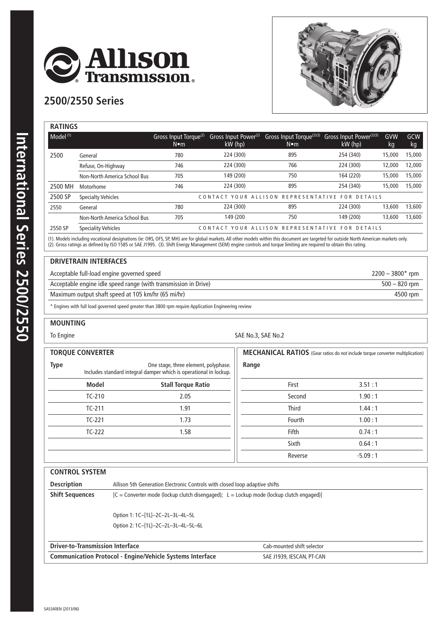

## **2500/2550 Series**



| <b>RATINGS</b>       |                              |                                                    |                                             |                                                       |                                                |           |           |
|----------------------|------------------------------|----------------------------------------------------|---------------------------------------------|-------------------------------------------------------|------------------------------------------------|-----------|-----------|
| Model <sup>(1)</sup> |                              | Gross Input Torque <sup>(2)</sup><br>$N \bullet m$ | Gross Input Power <sup>(2)</sup><br>kW (hp) | Gross Input Torque <sup>(2)(3)</sup><br>$N \bullet m$ | Gross Input Power <sup>(2)(3)</sup><br>kW (hp) | GVW<br>kg | GCW<br>kg |
| 2500                 | General                      | 780                                                | 224 (300)                                   | 895                                                   | 254 (340)                                      | 15,000    | 15,000    |
|                      | Refuse, On-Highway           | 746                                                | 224 (300)                                   | 766                                                   | 224 (300)                                      | 12,000    | 12,000    |
|                      | Non-North America School Bus | 705                                                | 149 (200)                                   | 750                                                   | 164 (220)                                      | 15,000    | 15,000    |
| 2500 MH              | Motorhome                    | 746                                                | 224 (300)                                   | 895                                                   | 254 (340)                                      | 15,000    | 15,000    |
| 2500 SP              | <b>Specialty Vehicles</b>    | CONTACT YOUR ALLISON REPRESENTATIVE FOR DETAILS    |                                             |                                                       |                                                |           |           |
| 2550                 | General                      | 780                                                | 224 (300)                                   | 895                                                   | 224 (300)                                      | 13,600    | 13,600    |
|                      | Non-North America School Bus | 705                                                | 149 (200                                    | 750                                                   | 149 (200)                                      | 13,600    | 13,600    |
| 2550 SP              | <b>Speciality Vehicles</b>   |                                                    |                                             | CONTACT YOUR ALLISON REPRESENTATIVE FOR DETAILS       |                                                |           |           |

(1). Models including vocational designations (ie: ORS, OFS, SP, MH) are for global markets. All other models within this document are targeted for outside North American markets only. (2). Gross ratings as defined by ISO 1585 or SAE J1995. (3). Shift Energy Management (SEM) engine controls and torque limiting are required to obtain this rating.

## **DRIVETRAIN INTERFACES**

Acceptable full-load engine governed speed 2200 – 3800\* rpm

Acceptable engine idle speed range (with transmission in Drive) 500 – 820 rpm

Maximum output shaft speed at 105 km/hr (65 mi/hr) 4500 rpm

\* Engines with full load governed speed greater than 3800 rpm require Application Engineering review

## **MOUNTING**

To Engine SAE No.3, SAE No.2

| <b>TORQUE CONVERTER</b> |              |                                                                                                           | <b>MECHANICAL RATIOS</b> (Gear ratios do not include torque converter multiplication) |           |  |
|-------------------------|--------------|-----------------------------------------------------------------------------------------------------------|---------------------------------------------------------------------------------------|-----------|--|
| <b>Type</b>             |              | One stage, three element, polyphase.<br>Includes standard integral damper which is operational in lockup. | Range                                                                                 |           |  |
|                         | <b>Model</b> | <b>Stall Torque Ratio</b>                                                                                 | First                                                                                 | 3.51:1    |  |
|                         | $TC-210$     | 2.05                                                                                                      | Second                                                                                | 1.90:1    |  |
|                         | $TC-211$     | 1.91                                                                                                      | <b>Third</b>                                                                          | 1.44:1    |  |
|                         | $TC-221$     | 1.73                                                                                                      | Fourth                                                                                | 1.00:1    |  |
|                         | $TC-222$     | 1.58                                                                                                      | Fifth                                                                                 | 0.74:1    |  |
|                         |              |                                                                                                           | Sixth                                                                                 | 0.64:1    |  |
|                         |              |                                                                                                           | Reverse                                                                               | $-5.09:1$ |  |

| <b>CONTROL SYSTEM</b>                                                                             |                                                                                            |  |  |  |  |
|---------------------------------------------------------------------------------------------------|--------------------------------------------------------------------------------------------|--|--|--|--|
| <b>Description</b><br>Allison 5th Generation Electronic Controls with closed loop adaptive shifts |                                                                                            |  |  |  |  |
| <b>Shift Sequences</b>                                                                            | $[C =$ Converter mode (lockup clutch disengaged); L = Lockup mode (lockup clutch engaged)] |  |  |  |  |
|                                                                                                   | Option 1: 1C-[1L]-2C-2L-3L-4L-5L                                                           |  |  |  |  |
|                                                                                                   | Option 2: 1C-[1L]-2C-2L-3L-4L-5L-6L                                                        |  |  |  |  |
| <b>Driver-to-Transmission Interface</b>                                                           | Cab-mounted shift selector                                                                 |  |  |  |  |

**Communication Protocol - Engine/Vehicle Systems Interface SAE J1939, IESCAN, PT-CAN**